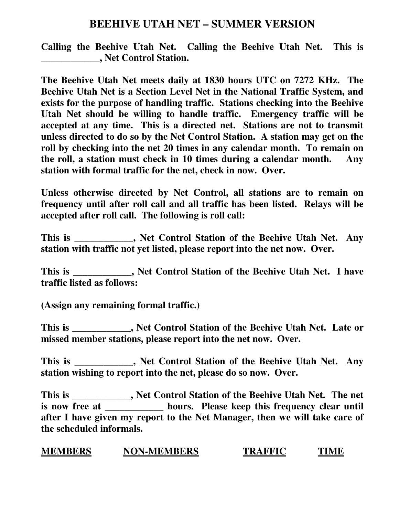## **BEEHIVE UTAH NET – SUMMER VERSION**

**Calling the Beehive Utah Net. Calling the Beehive Utah Net. This is \_\_\_\_\_\_\_\_\_\_\_\_, Net Control Station.** 

**The Beehive Utah Net meets daily at 1830 hours UTC on 7272 KHz. The Beehive Utah Net is a Section Level Net in the National Traffic System, and exists for the purpose of handling traffic. Stations checking into the Beehive Utah Net should be willing to handle traffic. Emergency traffic will be accepted at any time. This is a directed net. Stations are not to transmit unless directed to do so by the Net Control Station. A station may get on the roll by checking into the net 20 times in any calendar month. To remain on the roll, a station must check in 10 times during a calendar month. Any station with formal traffic for the net, check in now. Over.**

**Unless otherwise directed by Net Control, all stations are to remain on frequency until after roll call and all traffic has been listed. Relays will be accepted after roll call. The following is roll call:** 

**This is \_\_\_\_\_\_\_\_\_\_\_\_, Net Control Station of the Beehive Utah Net. Any station with traffic not yet listed, please report into the net now. Over.** 

**This is \_\_\_\_\_\_\_\_\_\_\_\_, Net Control Station of the Beehive Utah Net. I have traffic listed as follows:** 

**(Assign any remaining formal traffic.)** 

**This is \_\_\_\_\_\_\_\_\_\_\_\_, Net Control Station of the Beehive Utah Net. Late or missed member stations, please report into the net now. Over.** 

**This is \_\_\_\_\_\_\_\_\_\_\_\_, Net Control Station of the Beehive Utah Net. Any station wishing to report into the net, please do so now. Over.** 

**This is \_\_\_\_\_\_\_\_\_\_\_\_, Net Control Station of the Beehive Utah Net. The net is now free at \_\_\_\_\_\_\_\_\_\_\_\_ hours. Please keep this frequency clear until after I have given my report to the Net Manager, then we will take care of the scheduled informals.** 

**MEMBERS NON-MEMBERS TRAFFIC TIME**